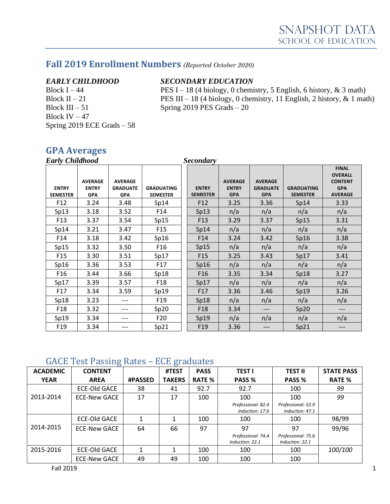# **Fall 2019 Enrollment Numbers** *(Reported October 2020)*

Block III – 51 Spring 2019 PES Grads –  $20$ Block IV  $-47$ Spring 2019 ECE Grads – 58

#### *EARLY CHILDHOOD SECONDARY EDUCATION*

Block I – 44 PES I – 18 (4 biology, 0 chemistry, 5 English, 6 history,  $\&$  3 math) Block II – 21 **PES** III – 18 (4 biology, 0 chemistry, 11 English, 2 history,  $\&$  1 math)

## **GPA Averages**

| <b>Early Childhood</b><br><b>Secondary</b> |                                              |                                                 |                                      |  |                                 |                                              |                                                 |                                      |                                                                                  |
|--------------------------------------------|----------------------------------------------|-------------------------------------------------|--------------------------------------|--|---------------------------------|----------------------------------------------|-------------------------------------------------|--------------------------------------|----------------------------------------------------------------------------------|
| <b>ENTRY</b><br><b>SEMESTER</b>            | <b>AVERAGE</b><br><b>ENTRY</b><br><b>GPA</b> | <b>AVERAGE</b><br><b>GRADUATE</b><br><b>GPA</b> | <b>GRADUATING</b><br><b>SEMESTER</b> |  | <b>ENTRY</b><br><b>SEMESTER</b> | <b>AVERAGE</b><br><b>ENTRY</b><br><b>GPA</b> | <b>AVERAGE</b><br><b>GRADUATE</b><br><b>GPA</b> | <b>GRADUATING</b><br><b>SEMESTER</b> | <b>FINAL</b><br><b>OVERALL</b><br><b>CONTENT</b><br><b>GPA</b><br><b>AVERAGE</b> |
| F <sub>12</sub>                            | 3.24                                         | 3.48                                            | Sp14                                 |  | F <sub>12</sub>                 | 3.25                                         | 3.36                                            | Sp14                                 | 3.33                                                                             |
| Sp13                                       | 3.18                                         | 3.52                                            | F14                                  |  | Sp13                            | n/a                                          | n/a                                             | n/a                                  | n/a                                                                              |
| F <sub>13</sub>                            | 3.37                                         | 3.54                                            | Sp15                                 |  | F <sub>13</sub>                 | 3.29                                         | 3.37                                            | Sp15                                 | 3.31                                                                             |
| Sp14                                       | 3.21                                         | 3.47                                            | F <sub>15</sub>                      |  | Sp14                            | n/a                                          | n/a                                             | n/a                                  | n/a                                                                              |
| F14                                        | 3.18                                         | 3.42                                            | Sp16                                 |  | F14                             | 3.24                                         | 3.42                                            | Sp16                                 | 3.38                                                                             |
| Sp15                                       | 3.32                                         | 3.50                                            | F <sub>16</sub>                      |  | Sp15                            | n/a                                          | n/a                                             | n/a                                  | n/a                                                                              |
| F <sub>15</sub>                            | 3.30                                         | 3.51                                            | Sp17                                 |  | F <sub>15</sub>                 | 3.25                                         | 3.43                                            | Sp17                                 | 3.41                                                                             |
| Sp16                                       | 3.36                                         | 3.53                                            | F17                                  |  | Sp16                            | n/a                                          | n/a                                             | n/a                                  | n/a                                                                              |
| F <sub>16</sub>                            | 3.44                                         | 3.66                                            | Sp18                                 |  | F <sub>16</sub>                 | 3.35                                         | 3.34                                            | Sp18                                 | 3.27                                                                             |
| Sp17                                       | 3.39                                         | 3.57                                            | F <sub>18</sub>                      |  | Sp17                            | n/a                                          | n/a                                             | n/a                                  | n/a                                                                              |
| F <sub>17</sub>                            | 3.34                                         | 3.59                                            | Sp19                                 |  | F17                             | 3.36                                         | 3.46                                            | Sp19                                 | 3.26                                                                             |
| Sp18                                       | 3.23                                         | ---                                             | F <sub>19</sub>                      |  | Sp18                            | n/a                                          | n/a                                             | n/a                                  | n/a                                                                              |
| F <sub>18</sub>                            | 3.32                                         | ---                                             | Sp20                                 |  | F <sub>18</sub>                 | 3.34                                         | ---                                             | Sp20                                 | ---                                                                              |
| Sp19                                       | 3.34                                         | ---                                             | F20                                  |  | Sp19                            | n/a                                          | n/a                                             | n/a                                  | n/a                                                                              |
| F <sub>19</sub>                            | 3.34                                         |                                                 | Sp21                                 |  | F <sub>19</sub>                 | 3.36                                         | ---                                             | Sp21                                 | ---                                                                              |

#### GACE Test Passing Rates – ECE graduates

| <b>ACADEMIC</b> | ັ<br><b>CONTENT</b> |                | ັ<br>#TEST    | <b>PASS</b>   | <b>TEST I</b>                         | <b>TEST II</b>                        | <b>STATE PASS</b> |
|-----------------|---------------------|----------------|---------------|---------------|---------------------------------------|---------------------------------------|-------------------|
| <b>YEAR</b>     | <b>AREA</b>         | <b>#PASSED</b> | <b>TAKERS</b> | <b>RATE %</b> | PASS %                                | PASS %                                | <b>RATE %</b>     |
|                 | <b>ECE-Old GACE</b> | 38             | 41            | 92.7          | 92.7                                  | 100                                   | 99                |
| 2013-2014       | <b>ECE-New GACE</b> | 17             | 17            | 100           | 100                                   | 100                                   | 99                |
|                 |                     |                |               |               | Professional: 82.4<br>Induction: 17.6 | Professional: 52.9<br>Induction: 47.1 |                   |
|                 | <b>ECE-Old GACE</b> |                |               | 100           | 100                                   | 100                                   | 98/99             |
| 2014-2015       | <b>ECE-New GACE</b> | 64             | 66            | 97            | 97                                    | 97                                    | 99/96             |
|                 |                     |                |               |               | Professional: 74.4<br>Induction: 22.1 | Professional: 75.6<br>Induction: 22.1 |                   |
| 2015-2016       | <b>ECE-Old GACE</b> |                |               | 100           | 100                                   | 100                                   | 100/100           |
|                 | <b>ECE-New GACE</b> | 49             | 49            | 100           | 100                                   | 100                                   |                   |

 $\blacksquare$ Fall 2019  $\blacksquare$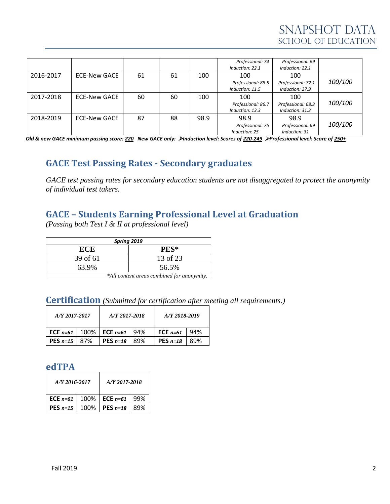|           |                     |    |    |      | Professional: 74<br>Induction: 22.1   | Professional: 69<br>Induction: 22.1   |         |
|-----------|---------------------|----|----|------|---------------------------------------|---------------------------------------|---------|
| 2016-2017 | ECE-New GACE        | 61 | 61 | 100  | 100                                   | 100                                   |         |
|           |                     |    |    |      | Professional: 88.5<br>Induction: 11.5 | Professional: 72.1<br>Induction: 27.9 | 100/100 |
| 2017-2018 | <b>ECE-New GACE</b> | 60 | 60 | 100  | 100                                   | 100                                   |         |
|           |                     |    |    |      | Professional: 86.7                    | Professional: 68.3                    | 100/100 |
|           |                     |    |    |      | Induction: 13.3                       | Induction: 31.3                       |         |
| 2018-2019 | <b>ECE-New GACE</b> | 87 | 88 | 98.9 | 98.9                                  | 98.9                                  |         |
|           |                     |    |    |      | Professional: 75                      | Professional: 69                      | 100/100 |
|           |                     |    |    |      | Induction: 25                         | Induction: 31                         |         |

*Old & new GACE minimum passing score: 220 New GACE only:* ➢*Induction level: Scores of 220-249* ➢*Professional level: Score of 250+*

# **GACE Test Passing Rates - Secondary graduates**

*GACE test passing rates for secondary education students are not disaggregated to protect the anonymity of individual test takers.*

# **GACE – Students Earning Professional Level at Graduation**

*(Passing both Test I & II at professional level)*

| Spring 2019                                |          |  |  |  |  |  |
|--------------------------------------------|----------|--|--|--|--|--|
| ECE                                        | PES*     |  |  |  |  |  |
| 39 of 61                                   | 13 of 23 |  |  |  |  |  |
| 63.9%                                      | 56.5%    |  |  |  |  |  |
| *All content areas combined for anonymity. |          |  |  |  |  |  |

### **Certification** *(Submitted for certification after meeting all requirements.)*

| A/Y 2017-2017           |  | A/Y 2017-2018                                      | A/Y 2018-2019           |      |  |
|-------------------------|--|----------------------------------------------------|-------------------------|------|--|
|                         |  | <b>ECE</b> $n=61$   100%   <b>ECE</b> $n=61$   94% | ECE $n=61$              | -94% |  |
| <b>PES</b> $n=15$   87% |  | PES $n=18$   89%                                   | <b>PES</b> $n=18$   89% |      |  |

## **edTPA**

| A/Y 2016-2017 | A/Y 2017-2018           |     |  |  |
|---------------|-------------------------|-----|--|--|
| ECE $n=61$    | 100%   ECE $n=61$   99% |     |  |  |
| $PES n=15$    | 100%   PES $n=18$       | 89% |  |  |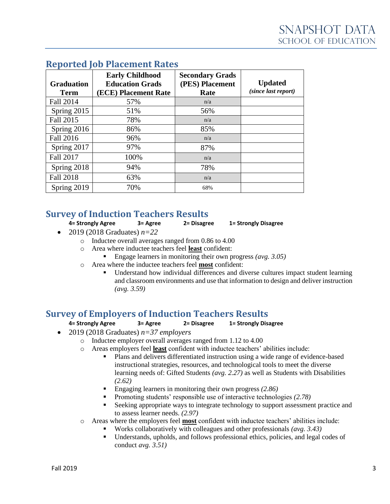| <b>Graduation</b><br><b>Term</b> | <b>Early Childhood</b><br><b>Education Grads</b><br>(ECE) Placement Rate | <b>Secondary Grads</b><br>(PES) Placement<br>Rate | <b>Updated</b><br>(since last report) |
|----------------------------------|--------------------------------------------------------------------------|---------------------------------------------------|---------------------------------------|
| <b>Fall 2014</b>                 | 57%                                                                      | n/a                                               |                                       |
| Spring 2015                      | 51%                                                                      | 56%                                               |                                       |
| Fall 2015                        | 78%                                                                      | n/a                                               |                                       |
| Spring 2016                      | 86%                                                                      | 85%                                               |                                       |
| Fall 2016                        | 96%                                                                      | n/a                                               |                                       |
| Spring 2017                      | 97%                                                                      | 87%                                               |                                       |
| <b>Fall 2017</b>                 | 100%                                                                     | n/a                                               |                                       |
| Spring 2018                      | 94%                                                                      | 78%                                               |                                       |
| <b>Fall 2018</b>                 | 63%                                                                      | n/a                                               |                                       |
| Spring 2019                      | 70%                                                                      | 68%                                               |                                       |

# **Reported Job Placement Rates**

# **Survey of Induction Teachers Results**

**4= Strongly Agree 3= Agree 2= Disagree 1= Strongly Disagree**

- 2019 (2018 Graduates) *n=22*
	- o Inductee overall averages ranged from 0.86 to 4.00
	- o Area where inductee teachers feel **least** confident:
		- Engage learners in monitoring their own progress *(avg. 3.05)*
	- o Area where the inductee teachers feel **most** confident:
		- Understand how individual differences and diverse cultures impact student learning and classroom environments and use that information to design and deliver instruction *(avg. 3.59)*

# **Survey of Employers of Induction Teachers Results**

#### **4= Strongly Agree 3= Agree 2= Disagree 1= Strongly Disagree**

- 2019 (2018 Graduates) *n=37 employers*
	- o Inductee employer overall averages ranged from 1.12 to 4.00
	- o Areas employers feel **least** confident with inductee teachers' abilities include:
		- Plans and delivers differentiated instruction using a wide range of evidence-based instructional strategies, resources, and technological tools to meet the diverse learning needs of: Gifted Students *(avg. 2.27)* as well as Students with Disabilities *(2.62)*
		- Engaging learners in monitoring their own progress *(2.86)*
		- Promoting students' responsible use of interactive technologies *(2.78)*
		- Seeking appropriate ways to integrate technology to support assessment practice and to assess learner needs. *(2.97)*
	- o Areas where the employers feel **most** confident with inductee teachers' abilities include:
		- Works collaboratively with colleagues and other professionals *(avg. 3.43)*
		- Understands, upholds, and follows professional ethics, policies, and legal codes of conduct *avg. 3.51)*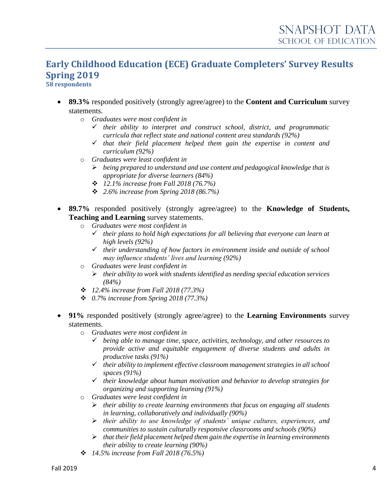# **Early Childhood Education (ECE) Graduate Completers' Survey Results Spring 2019**

**58 respondents**

- **89.3%** responded positively (strongly agree/agree) to the **Content and Curriculum** survey statements.
	- o *Graduates were most confident in*
		- ✓ *their ability to interpret and construct school, district, and programmatic curricula that reflect state and national content area standards (92%)*
		- ✓ *that their field placement helped them gain the expertise in content and curriculum (92%)*
	- o *Graduates were least confident in*
		- ➢ *being prepared to understand and use content and pedagogical knowledge that is appropriate for diverse learners (84%)*
		- ❖ *12.1% increase from Fall 2018 (76.7%)*
		- ❖ *2.6% increase from Spring 2018 (86.7%)*
- **89.7%** responded positively (strongly agree/agree) to the **Knowledge of Students, Teaching and Learning** survey statements.
	- o *Graduates were most confident in*
		- ✓ *their plans to hold high expectations for all believing that everyone can learn at high levels (92%)*
		- ✓ *their understanding of how factors in environment inside and outside of school may influence students' lives and learning (92%)*
	- o *Graduates were least confident in*
		- ➢ *their ability to work with students identified as needing special education services (84%)*
	- ❖ *12.4% increase from Fall 2018 (77.3%)*
	- ❖ *0.7% increase from Spring 2018 (77.3%)*
- **91%** responded positively (strongly agree/agree) to the **Learning Environments** survey statements.
	- o *Graduates were most confident in*
		- ✓ *being able to manage time, space, activities, technology, and other resources to provide active and equitable engagement of diverse students and adults in productive tasks (91%)*
		- ✓ *their ability to implement effective classroom management strategies in all school spaces (91%)*
		- ✓ *their knowledge about human motivation and behavior to develop strategies for organizing and supporting learning (91%)*
	- o *Graduates were least confident in*
		- ➢ *their ability to create learning environments that focus on engaging all students in learning, collaboratively and individually (90%)*
		- ➢ *their ability to use knowledge of students' unique cultures, experiences, and communities to sustain culturally responsive classrooms and schools (90%)*
		- ➢ *that their field placement helped them gain the expertise in learning environments their ability to create learning (90%)*
	- ❖ *14.5% increase from Fall 2018 (76.5%)*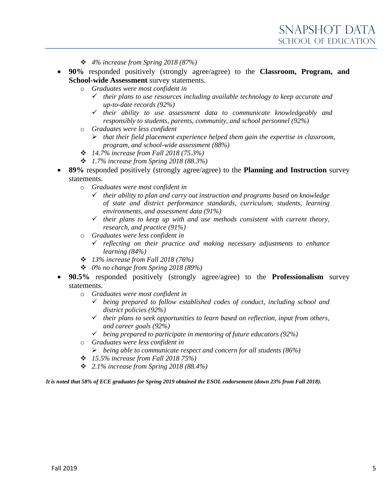- ❖ *4% increase from Spring 2018 (87%)*
- **90%** responded positively (strongly agree/agree) to the **Classroom, Program, and School-wide Assessment** survey statements.
	- o *Graduates were most confident in*
		- ✓ *their plans to use resources including available technology to keep accurate and up-to-date records (92%)*
		- ✓ *their ability to use assessment data to communicate knowledgeably and responsibly to students, parents, community, and school personnel (92%)*
	- o *Graduates were less confident*
		- ➢ *that their field placement experience helped them gain the expertise in classroom, program, and school-wide assessment (88%)*
	- ❖ *14.7% increase from Fall 2018 (75.3%)*
	- ❖ *1.7% increase from Spring 2018 (88.3%)*
- **89%** responded positively (strongly agree/agree) to the **Planning and Instruction** survey statements.
	- o *Graduates were most confident in*
		- ✓ *their ability to plan and carry out instruction and programs based on knowledge of state and district performance standards, curriculum, students, learning environments, and assessment data (91%)*
		- ✓ *their plans to keep up with and use methods consistent with current theory, research, and practice (91%)*
	- o *Graduates were less confident in*
		- ✓ *reflecting on their practice and making necessary adjustments to enhance learning (84%)*
	- ❖ *13% increase from Fall 2018 (76%)*
	- ❖ *0% no change from Spring 2018 (89%)*
- **90.5%** responded positively (strongly agree/agree) to the **Professionalism** survey statements.
	- o *Graduates were most confident in*
		- ✓ *being prepared to follow established codes of conduct, including school and district policies (92%)*
		- ✓ *their plans to seek opportunities to learn based on reflection, input from others, and career goals (92%)*
		- ✓ *being prepared to participate in mentoring of future educators (92%)*
	- o *Graduates were less confident in*
		- ➢ *being able to communicate respect and concern for all students (86%)*
	- ❖ *15.5% increase from Fall 2018 75%)*
	- ❖ *2.1% increase from Spring 2018 (88.4%)*

*It is noted that 58% of ECE graduates for Spring 2019 obtained the ESOL endorsement (down 23% from Fall 2018).*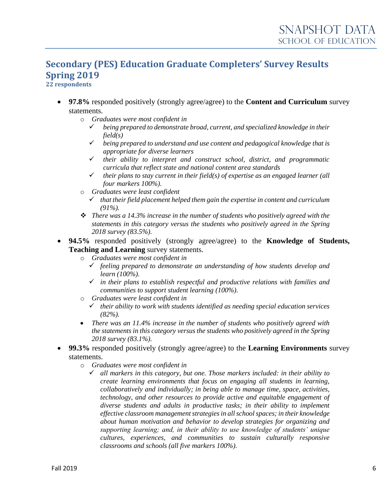# **Secondary (PES) Education Graduate Completers' Survey Results Spring 2019**

**22 respondents**

- **97.8%** responded positively (strongly agree/agree) to the **Content and Curriculum** survey statements.
	- o *Graduates were most confident in*
		- ✓ *being prepared to demonstrate broad, current, and specialized knowledge in their field(s)*
		- ✓ *being prepared to understand and use content and pedagogical knowledge that is appropriate for diverse learners*
		- ✓ *their ability to interpret and construct school, district, and programmatic curricula that reflect state and national content area standards*
		- $\checkmark$  their plans to stay current in their field(s) of expertise as an engaged learner (all *four markers 100%).*
	- o *Graduates were least confident*
		- ✓ *that their field placement helped them gain the expertise in content and curriculum (91%).*
	- ❖ *There was a 14.3% increase in the number of students who positively agreed with the statements in this category versus the students who positively agreed in the Spring 2018 survey (83.5%).*
- **94.5%** responded positively (strongly agree/agree) to the **Knowledge of Students, Teaching and Learning** survey statements.
	- o *Graduates were most confident in*
		- ✓ *feeling prepared to demonstrate an understanding of how students develop and learn (100%).*
		- ✓ *in their plans to establish respectful and productive relations with families and communities to support student learning (100%).*
	- o *Graduates were least confident in*
		- ✓ *their ability to work with students identified as needing special education services (82%).*
	- *There was an 11.4% increase in the number of students who positively agreed with the statements in this category versus the students who positively agreed in the Spring 2018 survey (83.1%).*
- **99.3%** responded positively (strongly agree/agree) to the **Learning Environments** survey statements.
	- o *Graduates were most confident in*
		- ✓ *all markers in this category, but one. Those markers included: in their ability to create learning environments that focus on engaging all students in learning, collaboratively and individually; in being able to manage time, space, activities, technology, and other resources to provide active and equitable engagement of diverse students and adults in productive tasks; in their ability to implement effective classroom management strategies in all school spaces; in their knowledge about human motivation and behavior to develop strategies for organizing and supporting learning; and, in their ability to use knowledge of students' unique cultures, experiences, and communities to sustain culturally responsive classrooms and schools (all five markers 100%).*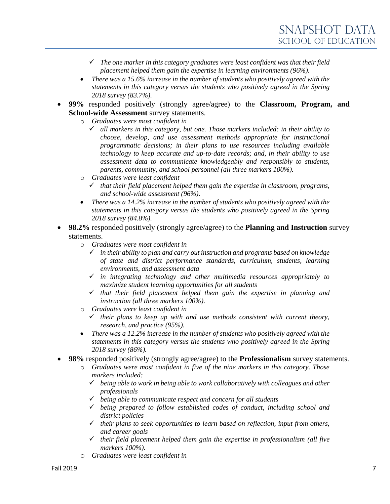- ✓ *The one marker in this category graduates were least confident was that their field placement helped them gain the expertise in learning environments (96%).*
- *There was a 15.6% increase in the number of students who positively agreed with the statements in this category versus the students who positively agreed in the Spring 2018 survey (83.7%).*
- **99%** responded positively (strongly agree/agree) to the **Classroom, Program, and School-wide Assessment** survey statements.
	- o *Graduates were most confident in*
		- ✓ *all markers in this category, but one. Those markers included: in their ability to choose, develop, and use assessment methods appropriate for instructional programmatic decisions; in their plans to use resources including available technology to keep accurate and up-to-date records; and, in their ability to use assessment data to communicate knowledgeably and responsibly to students, parents, community, and school personnel (all three markers 100%).*
	- o *Graduates were least confident*
		- ✓ *that their field placement helped them gain the expertise in classroom, programs, and school-wide assessment (96%).*
	- *There was a 14.2% increase in the number of students who positively agreed with the statements in this category versus the students who positively agreed in the Spring 2018 survey (84.8%).*
- **98.2%** responded positively (strongly agree/agree) to the **Planning and Instruction** survey statements.
	- o *Graduates were most confident in*
		- ✓ *in their ability to plan and carry out instruction and programs based on knowledge of state and district performance standards, curriculum, students, learning environments, and assessment data*
		- ✓ *in integrating technology and other multimedia resources appropriately to maximize student learning opportunities for all students*
		- ✓ *that their field placement helped them gain the expertise in planning and instruction (all three markers 100%).*
	- o *Graduates were least confident in*
		- $\checkmark$  their plans to keep up with and use methods consistent with current theory, *research, and practice (95%).*
	- *There was a 12.2% increase in the number of students who positively agreed with the statements in this category versus the students who positively agreed in the Spring 2018 survey (86%).*
- **98%** responded positively (strongly agree/agree) to the **Professionalism** survey statements.
	- o *Graduates were most confident in five of the nine markers in this category. Those markers included:* 
		- ✓ *being able to work in being able to work collaboratively with colleagues and other professionals*
		- ✓ *being able to communicate respect and concern for all students*
		- ✓ *being prepared to follow established codes of conduct, including school and district policies*
		- ✓ *their plans to seek opportunities to learn based on reflection, input from others, and career goals*
		- ✓ *their field placement helped them gain the expertise in professionalism (all five markers 100%).*
	- o *Graduates were least confident in*